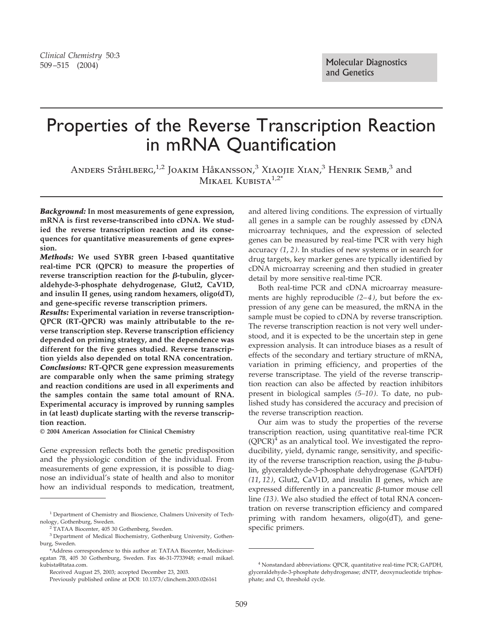# Properties of the Reverse Transcription Reaction in mRNA Quantification

ANDERS STÅHLBERG,<sup>1,2</sup> JOAKIM HÅKANSSON,<sup>3</sup> XIAOJIE XIAN,<sup>3</sup> HENRIK SEMB,<sup>3</sup> and MIKAEL KUBISTA $1.2^*$ 

*Background:* **In most measurements of gene expression, mRNA is first reverse-transcribed into cDNA. We studied the reverse transcription reaction and its consequences for quantitative measurements of gene expression.**

*Methods:* **We used SYBR green I-based quantitative real-time PCR (QPCR) to measure the properties of** reverse transcription reaction for the  $\beta$ -tubulin, glycer**aldehyde-3-phosphate dehydrogenase, Glut2, CaV1D, and insulin II genes, using random hexamers, oligo(dT), and gene-specific reverse transcription primers.**

*Results:* **Experimental variation in reverse transcription-QPCR (RT-QPCR) was mainly attributable to the reverse transcription step. Reverse transcription efficiency depended on priming strategy, and the dependence was different for the five genes studied. Reverse transcription yields also depended on total RNA concentration.** *Conclusions:* **RT-QPCR gene expression measurements are comparable only when the same priming strategy and reaction conditions are used in all experiments and the samples contain the same total amount of RNA. Experimental accuracy is improved by running samples in (at least) duplicate starting with the reverse transcription reaction.**

**© 2004 American Association for Clinical Chemistry**

Gene expression reflects both the genetic predisposition and the physiologic condition of the individual. From measurements of gene expression, it is possible to diagnose an individual's state of health and also to monitor how an individual responds to medication, treatment, and altered living conditions. The expression of virtually all genes in a sample can be roughly assessed by cDNA microarray techniques, and the expression of selected genes can be measured by real-time PCR with very high accuracy *(1*, *2)*. In studies of new systems or in search for drug targets, key marker genes are typically identified by cDNA microarray screening and then studied in greater detail by more sensitive real-time PCR.

Both real-time PCR and cDNA microarray measurements are highly reproducible *(2–4)*, but before the expression of any gene can be measured, the mRNA in the sample must be copied to cDNA by reverse transcription. The reverse transcription reaction is not very well understood, and it is expected to be the uncertain step in gene expression analysis. It can introduce biases as a result of effects of the secondary and tertiary structure of mRNA, variation in priming efficiency, and properties of the reverse transcriptase. The yield of the reverse transcription reaction can also be affected by reaction inhibitors present in biological samples *(5–10)*. To date, no published study has considered the accuracy and precision of the reverse transcription reaction.

Our aim was to study the properties of the reverse transcription reaction, using quantitative real-time PCR  $(QPCR)^4$  as an analytical tool. We investigated the reproducibility, yield, dynamic range, sensitivity, and specificity of the reverse transcription reaction, using the  $\beta$ -tubulin, glyceraldehyde-3-phosphate dehydrogenase (GAPDH) *(11*, *12)*, Glut2, CaV1D, and insulin II genes, which are expressed differently in a pancreatic  $\beta$ -tumor mouse cell line *(13)*. We also studied the effect of total RNA concentration on reverse transcription efficiency and compared priming with random hexamers, oligo(dT), and genespecific primers.

<sup>&</sup>lt;sup>1</sup> Department of Chemistry and Bioscience, Chalmers University of Technology, Gothenburg, Sweden.

<sup>2</sup> TATAA Biocenter, 405 30 Gothenberg, Sweden.

<sup>&</sup>lt;sup>3</sup> Department of Medical Biochemistry, Gothenburg University, Gothenburg, Sweden.

<sup>\*</sup>Address correspondence to this author at: TATAA Biocenter, Medicinaregatan 7B, 405 30 Gothenburg, Sweden. Fax 46-31-7733948; e-mail mikael. kubista@tataa.com.

Received August 25, 2003; accepted December 23, 2003.

Previously published online at DOI: 10.1373/clinchem.2003.026161

<sup>4</sup> Nonstandard abbreviations: QPCR, quantitative real-time PCR; GAPDH, glyceraldehyde-3-phosphate dehydrogenase; dNTP, deoxynucleotide triphosphate; and Ct, threshold cycle.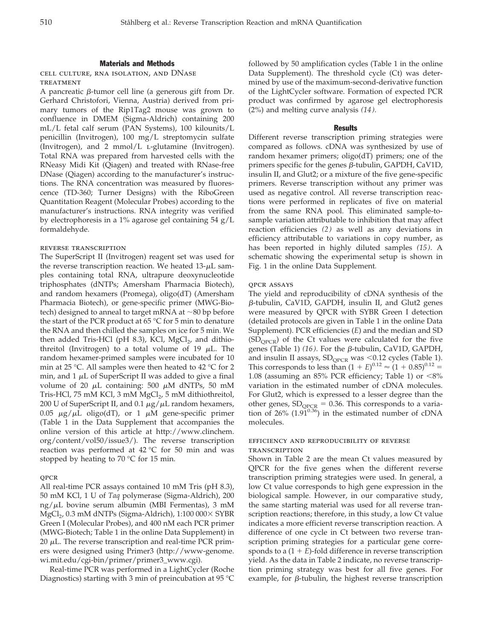## Materials and Methods

cell culture, rna isolation, and DNase **TREATMENT** 

A pancreatic  $\beta$ -tumor cell line (a generous gift from Dr. Gerhard Christofori, Vienna, Austria) derived from primary tumors of the Rip1Tag2 mouse was grown to confluence in DMEM (Sigma-Aldrich) containing 200 mL/L fetal calf serum (PAN Systems), 100 kilounits/L penicillin (Invitrogen), 100 mg/L streptomycin sulfate (Invitrogen), and 2 mmol/L l-glutamine (Invitrogen). Total RNA was prepared from harvested cells with the RNeasy Midi Kit (Qiagen) and treated with RNase-free DNase (Qiagen) according to the manufacturer's instructions. The RNA concentration was measured by fluorescence (TD-360; Turner Designs) with the RiboGreen Quantitation Reagent (Molecular Probes) according to the manufacturer's instructions. RNA integrity was verified by electrophoresis in a 1% agarose gel containing 54 g/L formaldehyde.

# reverse transcription

The SuperScript II (Invitrogen) reagent set was used for the reverse transcription reaction. We heated  $13-\mu L$  samples containing total RNA, ultrapure deoxynucleotide triphosphates (dNTPs; Amersham Pharmacia Biotech), and random hexamers (Promega), oligo(dT) (Amersham Pharmacia Biotech), or gene-specific primer (MWG-Biotech) designed to anneal to target mRNA at  $\sim$ 80 bp before the start of the PCR product at 65 °C for 5 min to denature the RNA and then chilled the samples on ice for 5 min. We then added Tris-HCl (pH 8.3), KCl,  $MgCl<sub>2</sub>$ , and dithiothreitol (Invitrogen) to a total volume of 19  $\mu$ L. The random hexamer-primed samples were incubated for 10 min at 25 °C. All samples were then heated to 42 °C for 2 min, and 1  $\mu$ L of SuperScript II was added to give a final volume of 20  $\mu$ L containing: 500  $\mu$ M dNTPs, 50 mM Tris-HCl, 75 mM KCl, 3 mM  $MgCl<sub>2</sub>$ , 5 mM dithiothreitol, 200 U of SuperScript II, and 0.1  $\mu$ g/ $\mu$ L random hexamers,  $0.05~\mu{\rm g}/{\mu}{\rm L}$  oligo(dT), or  $1~\mu{\rm M}$  gene-specific primer (Table 1 in the Data Supplement that accompanies the online version of this article at http://www.clinchem. org/content/vol50/issue3/). The reverse transcription reaction was performed at 42 °C for 50 min and was stopped by heating to 70  $\degree$ C for 15 min.

#### QPCR

All real-time PCR assays contained 10 mM Tris (pH 8.3), 50 mM KCl, 1 U of *Taq* polymerase (Sigma-Aldrich), 200 ng/μL bovine serum albumin (MBI Fermentas), 3 mM  $\mathrm{MgCl}_{2}$ , 0.3 mM dNTPs (Sigma-Aldrich), 1:100 000 $\times$  SYBR Green I (Molecular Probes), and 400 nM each PCR primer (MWG-Biotech; Table 1 in the online Data Supplement) in 20  $\mu$ L. The reverse transcription and real-time PCR primers were designed using Primer3 (http://www-genome. wi.mit.edu/cgi-bin/primer/primer3\_www.cgi).

Real-time PCR was performed in a LightCycler (Roche Diagnostics) starting with 3 min of preincubation at 95 °C followed by 50 amplification cycles (Table 1 in the online Data Supplement). The threshold cycle (Ct) was determined by use of the maximum-second-derivative function of the LightCycler software. Formation of expected PCR product was confirmed by agarose gel electrophoresis (2%) and melting curve analysis *(14)*.

# Results

Different reverse transcription priming strategies were compared as follows. cDNA was synthesized by use of random hexamer primers; oligo(dT) primers; one of the primers specific for the genes  $\beta$ -tubulin, GAPDH, CaV1D, insulin II, and Glut2; or a mixture of the five gene-specific primers. Reverse transcription without any primer was used as negative control. All reverse transcription reactions were performed in replicates of five on material from the same RNA pool. This eliminated sample-tosample variation attributable to inhibition that may affect reaction efficiencies *(2)* as well as any deviations in efficiency attributable to variations in copy number, as has been reported in highly diluted samples *(15)*. A schematic showing the experimental setup is shown in Fig. 1 in the online Data Supplement*.*

#### qpcr assays

The yield and reproducibility of cDNA synthesis of the -tubulin, CaV1D, GAPDH, insulin II, and Glut2 genes were measured by QPCR with SYBR Green I detection (detailed protocols are given in Table 1 in the online Data Supplement). PCR efficiencies (*E*) and the median and SD  $(SD_{OPCR})$  of the Ct values were calculated for the five genes (Table 1)  $(16)$ . For the  $\beta$ -tubulin, CaV1D, GAPDH, and insulin II assays,  $SD_{QPCR}$  was <0.12 cycles (Table 1). This corresponds to less than  $(1 + E)^{0.12} \approx (1 + 0.85)^{0.12}$ 1.08 (assuming an  $85\%$  PCR efficiency; Table 1) or  $\langle 8\%$ variation in the estimated number of cDNA molecules. For Glut2, which is expressed to a lesser degree than the other genes,  $SD_{QPCR} = 0.36$ . This corresponds to a variation of 26%  $(1.9\tilde{1}^{0.36})$  in the estimated number of cDNA molecules.

# efficiency and reproducibility of reverse **TRANSCRIPTION**

Shown in Table 2 are the mean Ct values measured by QPCR for the five genes when the different reverse transcription priming strategies were used. In general, a low Ct value corresponds to high gene expression in the biological sample. However, in our comparative study, the same starting material was used for all reverse transcription reactions; therefore, in this study, a low Ct value indicates a more efficient reverse transcription reaction. A difference of one cycle in Ct between two reverse transcription priming strategies for a particular gene corresponds to a  $(1 + E)$ -fold difference in reverse transcription yield. As the data in Table 2 indicate, no reverse transcription priming strategy was best for all five genes. For example, for  $\beta$ -tubulin, the highest reverse transcription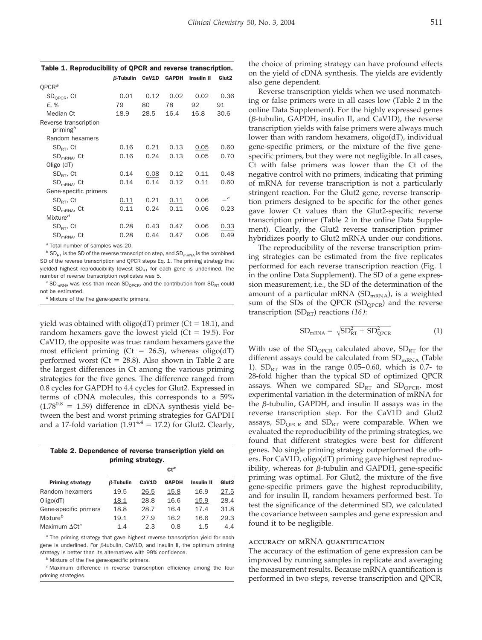| $\beta$ -Tubulin | CaV1D | <b>GAPDH</b> | <b>Insulin II</b> | Glut <sub>2</sub> |
|------------------|-------|--------------|-------------------|-------------------|
|                  |       |              |                   |                   |
| 0.01             | 0.12  | 0.02         | 0.02              | 0.36              |
| 79               | 80    | 78           | 92                | 91                |
| 18.9             | 28.5  | 16.4         | 16.8              | 30.6              |
|                  |       |              |                   |                   |
|                  |       |              |                   |                   |
| 0.16             | 0.21  | 0.13         | 0.05              | 0.60              |
| 0.16             | 0.24  | 0.13         | 0.05              | 0.70              |
|                  |       |              |                   |                   |
| 0.14             | 0.08  | 0.12         | 0.11              | 0.48              |
| 0.14             | 0.14  | 0.12         | 0.11              | 0.60              |
|                  |       |              |                   |                   |
| 0.11             | 0.21  | 0.11         | 0.06              | $\mathcal{C}$     |
| 0.11             | 0.24  | 0.11         | 0.06              | 0.23              |
|                  |       |              |                   |                   |
| 0.28             | 0.43  | 0.47         | 0.06              | 0.33              |
| 0.28             | 0.44  | 0.47         | 0.06              | 0.49              |
|                  |       |              |                   |                   |

Table 1. Reproducibility of QPCR and reverse transcription.

*<sup>a</sup>* Total number of samples was 20.

 $b$  SD<sub>RT</sub> is the SD of the reverse transcription step, and SD<sub>mRNA</sub> is the combined SD of the reverse transcription and QPCR steps Eq. 1. The priming strategy that yielded highest reproducibility lowest  $SD_{RT}$  for each gene is underlined. The number of reverse transcription replicates was 5.

 $c$  SD<sub>mRNA</sub> was less than mean SD<sub>QPCR</sub>, and the contribution from SD<sub>RT</sub> could not be estimated.

*<sup>d</sup>* Mixture of the five gene-specific primers.

yield was obtained with oligo(dT) primer ( $Ct = 18.1$ ), and random hexamers gave the lowest yield ( $Ct = 19.5$ ). For CaV1D, the opposite was true: random hexamers gave the most efficient priming (Ct = 26.5), whereas oligo(dT) performed worst (Ct = 28.8). Also shown in Table 2 are the largest differences in Ct among the various priming strategies for the five genes. The difference ranged from 0.8 cycles for GAPDH to 4.4 cycles for Glut2. Expressed in terms of cDNA molecules, this corresponds to a 59%  $(1.78^{0.8} = 1.59)$  difference in cDNA synthesis yield between the best and worst priming strategies for GAPDH and a 17-fold variation  $(1.91<sup>4.4</sup> = 17.2)$  for Glut2. Clearly,

| Table 2. Dependence of reverse transcription yield on |  |  |  |  |  |  |
|-------------------------------------------------------|--|--|--|--|--|--|
| priming strategy.                                     |  |  |  |  |  |  |

| <b>Priming strategy</b> | $Ct^a$       |       |              |                   |                   |  |
|-------------------------|--------------|-------|--------------|-------------------|-------------------|--|
|                         | $B$ -Tubulin | CaV1D | <b>GAPDH</b> | <b>Insulin II</b> | Glut <sub>2</sub> |  |
| Random hexamers         | 19.5         | 26.5  | 15.8         | 16.9              | 27.5              |  |
| Oligo(dT)               | 18.1         | 28.8  | 16.6         | 15.9              | 28.4              |  |
| Gene-specific primers   | 18.8         | 28.7  | 16.4         | 17.4              | 31.8              |  |
| Mixture <sup>b</sup>    | 19.1         | 27.9  | 16.2         | 16.6              | 29.3              |  |
| Maximum $\Delta C t^c$  | 1.4          | 2.3   | 0.8          | 1.5               | 4.4               |  |

*<sup>a</sup>* The priming strategy that gave highest reverse transcription yield for each gene is underlined. For  $\beta$ -tubulin, CaV1D, and insulin II, the optimum priming strategy is better than its alternatives with 99% confidence.

*<sup>b</sup>* Mixture of the five gene-specific primers.

*<sup>c</sup>* Maximum difference in reverse transcription efficiency among the four priming strategies.

the choice of priming strategy can have profound effects on the yield of cDNA synthesis. The yields are evidently also gene dependent.

Reverse transcription yields when we used nonmatching or false primers were in all cases low (Table 2 in the online Data Supplement). For the highly expressed genes  $(\beta$ -tubulin, GAPDH, insulin II, and CaV1D), the reverse transcription yields with false primers were always much lower than with random hexamers, oligo(dT), individual gene-specific primers, or the mixture of the five genespecific primers, but they were not negligible. In all cases, Ct with false primers was lower than the Ct of the negative control with no primers, indicating that priming of mRNA for reverse transcription is not a particularly stringent reaction. For the Glut2 gene, reverse transcription primers designed to be specific for the other genes gave lower Ct values than the Glut2-specific reverse transcription primer (Table 2 in the online Data Supplement). Clearly, the Glut2 reverse transcription primer hybridizes poorly to Glut2 mRNA under our conditions.

The reproducibility of the reverse transcription priming strategies can be estimated from the five replicates performed for each reverse transcription reaction (Fig. 1 in the online Data Supplement). The SD of a gene expression measurement, i.e., the SD of the determination of the amount of a particular mRNA  $(SD_{mRNA})$ , is a weighted sum of the SDs of the QPCR  $(SD_{QPCR})$  and the reverse transcription  $(SD_{RT})$  reactions  $(16)$ :

$$
SD_{mRNA} = \sqrt{SD_{RT}^2 + SD_{QPCR}^2}
$$
 (1)

With use of the  $SD_{QPCR}$  calculated above,  $SD_{RT}$  for the different assays could be calculated from  $SD<sub>mRNA</sub>$  (Table 1).  $SD_{RT}$  was in the range 0.05–0.60, which is 0.7- to 28-fold higher than the typical SD of optimized QPCR assays. When we compared  $SD_{RT}$  and  $SD_{OPCR}$ , most experimental variation in the determination of mRNA for the  $\beta$ -tubulin, GAPDH, and insulin II assays was in the reverse transcription step. For the CaV1D and Glut2 assays,  $SD<sub>OPCR</sub>$  and  $SD<sub>RT</sub>$  were comparable. When we evaluated the reproducibility of the priming strategies, we found that different strategies were best for different genes. No single priming strategy outperformed the others. For CaV1D, oligo(dT) priming gave highest reproducibility, whereas for  $\beta$ -tubulin and GAPDH, gene-specific priming was optimal. For Glut2, the mixture of the five gene-specific primers gave the highest reproducibility, and for insulin II, random hexamers performed best. To test the significance of the determined SD, we calculated the covariance between samples and gene expression and found it to be negligible.

## accuracy of mRNA quantification

The accuracy of the estimation of gene expression can be improved by running samples in replicate and averaging the measurement results. Because mRNA quantification is performed in two steps, reverse transcription and QPCR,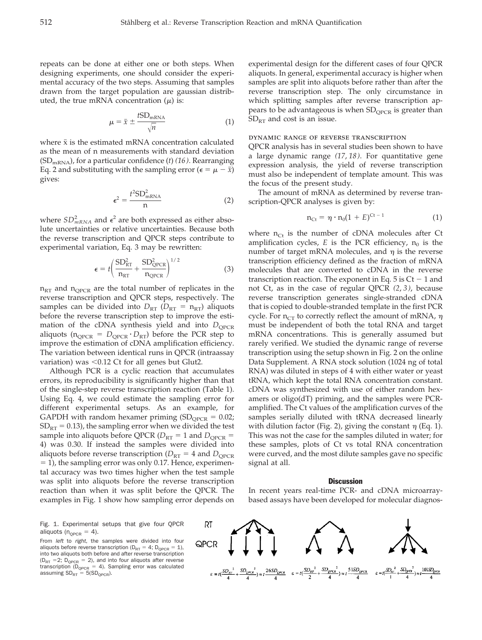repeats can be done at either one or both steps. When designing experiments, one should consider the experimental accuracy of the two steps. Assuming that samples drawn from the target population are gaussian distributed, the true mRNA concentration  $(\mu)$  is:

$$
\mu = \bar{x} \pm \frac{t \text{SD}_{\text{mRNA}}}{\sqrt{n}} \tag{1}
$$

where  $\bar{x}$  is the estimated mRNA concentration calculated as the mean of n measurements with standard deviation (SDmRNA), for a particular confidence (*t*) *(16)*. Rearranging Eq. 2 and substituting with the sampling error ( $\epsilon = \mu - \bar{x}$ ) gives:

$$
\epsilon^2 = \frac{t^2 \text{SD}_{\text{mRNA}}^2}{n} \tag{2}
$$

where  $SD<sup>2</sup><sub>mRNA</sub>$  and  $\epsilon<sup>2</sup>$  are both expressed as either absolute uncertainties or relative uncertainties. Because both the reverse transcription and QPCR steps contribute to experimental variation, Eq. 3 may be rewritten:

$$
\epsilon = t \left( \frac{\text{SD}_{\text{RT}}^2}{n_{\text{RT}}} + \frac{\text{SD}_{\text{QPCR}}^2}{n_{\text{QPCR}}} \right)^{1/2} \tag{3}
$$

 $n_{RT}$  and  $n_{QPCR}$  are the total number of replicates in the reverse transcription and QPCR steps, respectively. The samples can be divided into  $D_{RT}$  ( $D_{RT}$  =  $n_{RT}$ ) aliquots before the reverse transcription step to improve the estimation of the cDNA synthesis yield and into  $D_{\text{OPCR}}$ aliquots ( $n_{QPCR} = D_{QPCR} \cdot D_{RT}$ ) before the PCR step to improve the estimation of cDNA amplification efficiency. The variation between identical runs in QPCR (intraassay variation) was  $< 0.12$  Ct for all genes but Glut2.

Although PCR is a cyclic reaction that accumulates errors, its reproducibility is significantly higher than that of the single-step reverse transcription reaction (Table 1). Using Eq. 4, we could estimate the sampling error for different experimental setups. As an example, for GAPDH with random hexamer priming  $(SD_{OPCR} = 0.02;$  $SD_{RT} = 0.13$ ), the sampling error when we divided the test sample into aliquots before QPCR ( $D_{RT}$  = 1 and  $D_{OPCR}$  = 4) was 0.30. If instead the samples were divided into aliquots before reverse transcription ( $D_{RT}$  = 4 and  $D_{OPCR}$  $=$  1), the sampling error was only 0.17. Hence, experimental accuracy was two times higher when the test sample was split into aliquots before the reverse transcription reaction than when it was split before the QPCR. The examples in Fig. 1 show how sampling error depends on

Fig. 1. Experimental setups that give four QPCR aliquots ( $n_{QPCR} = 4$ ).

From *left* to *right*, the samples were divided into four aliquots before reverse transcription ( $D_{RT} = 4$ ;  $D_{QPCR} = 1$ ), into two aliquots both before and after reverse transcription  $(D_{RT} = 2; D_{QPCR} = 2)$ , and into four aliquots after reverse transcription (D<sub>QPCR</sub> = 4). Sampling error was calculated assuming  $SD_{RT} = 5(SD_{QPCR})$ .

experimental design for the different cases of four QPCR aliquots. In general, experimental accuracy is higher when samples are split into aliquots before rather than after the reverse transcription step. The only circumstance in which splitting samples after reverse transcription appears to be advantageous is when SD<sub>QPCR</sub> is greater than  $SD<sub>RT</sub>$  and cost is an issue.

## dynamic range of reverse transcription

QPCR analysis has in several studies been shown to have a large dynamic range *(17*, *18)*. For quantitative gene expression analysis, the yield of reverse transcription must also be independent of template amount. This was the focus of the present study.

The amount of mRNA as determined by reverse transcription-QPCR analyses is given by:

$$
n_{\mathrm{C}t} = \eta \cdot n_0 (1 + E)^{\mathrm{C}t - 1} \tag{1}
$$

where  $n_{Ct}$  is the number of cDNA molecules after Ct amplification cycles,  $E$  is the PCR efficiency,  $n_0$  is the number of target mRNA molecules, and  $\eta$  is the reverse transcription efficiency defined as the fraction of mRNA molecules that are converted to cDNA in the reverse transcription reaction. The exponent in Eq.  $5$  is Ct  $-1$  and not Ct, as in the case of regular QPCR *(2*, *3)*, because reverse transcription generates single-stranded cDNA that is copied to double-stranded template in the first PCR cycle. For  $n_{CT}$  to correctly reflect the amount of mRNA,  $\eta$ must be independent of both the total RNA and target mRNA concentrations. This is generally assumed but rarely verified. We studied the dynamic range of reverse transcription using the setup shown in Fig. 2 on the online Data Supplement. A RNA stock solution (1024 ng of total RNA) was diluted in steps of 4 with either water or yeast tRNA, which kept the total RNA concentration constant. cDNA was synthesized with use of either random hexamers or oligo(dT) priming, and the samples were PCRamplified. The Ct values of the amplification curves of the samples serially diluted with tRNA decreased linearly with dilution factor (Fig. 2), giving the constant  $\eta$  (Eq. 1). This was not the case for the samples diluted in water; for these samples, plots of Ct vs total RNA concentration were curved, and the most dilute samples gave no specific signal at all.

## **Discussion**

In recent years real-time PCR- and cDNA microarraybased assays have been developed for molecular diagnos-

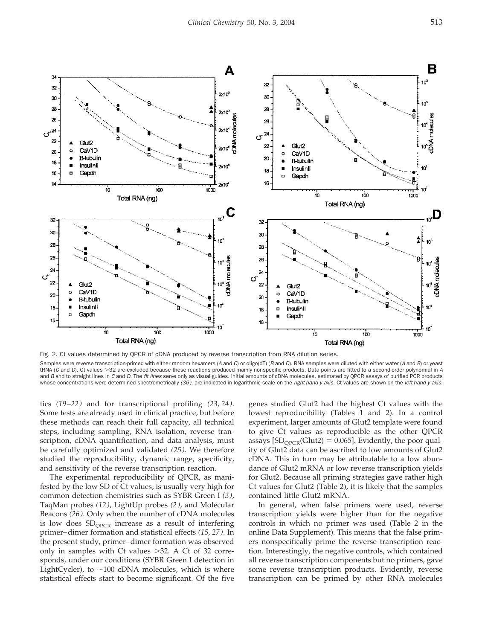

Fig. 2. Ct values determined by QPCR of cDNA produced by reverse transcription from RNA dilution series. Samples were reverse transcription-primed with either random hexamers (*A* and *C*) or oligo(dT) (*B* and *D*). RNA samples were diluted with either water (*A* and *B*) or yeast tRNA (C and D). Ct values >32 are excluded because these reactions produced mainly nonspecific products. Data points are fitted to a second-order polynomial in A and *B* and to straight lines in *C* and *D*. The *fit lines* serve only as visual guides. Initial amounts of cDNA molecules, estimated by QPCR assays of purified PCR products whose concentrations were determined spectrometrically *(36)*, are indicated in logarithmic scale on the *right-hand y axis*. Ct values are shown on the *left-hand y axis*.

tics *(19–22)* and for transcriptional profiling *(23*, *24)*. Some tests are already used in clinical practice, but before these methods can reach their full capacity, all technical steps, including sampling, RNA isolation, reverse transcription, cDNA quantification, and data analysis, must be carefully optimized and validated *(25)*. We therefore studied the reproducibility, dynamic range, specificity, and sensitivity of the reverse transcription reaction.

The experimental reproducibility of QPCR, as manifested by the low SD of Ct values, is usually very high for common detection chemistries such as SYBR Green I *(3)*, TaqMan probes *(12)*, LightUp probes *(2)*, and Molecular Beacons *(26)*. Only when the number of cDNA molecules is low does  $SD<sub>OPCR</sub>$  increase as a result of interfering primer–dimer formation and statistical effects *(15*, *27)*. In the present study, primer–dimer formation was observed only in samples with Ct values  $>32$ . A Ct of 32 corresponds, under our conditions (SYBR Green I detection in LightCycler), to  $\sim$ 100 cDNA molecules, which is where statistical effects start to become significant. Of the five genes studied Glut2 had the highest Ct values with the lowest reproducibility (Tables 1 and 2). In a control experiment, larger amounts of Glut2 template were found to give Ct values as reproducible as the other QPCR assays  $[SD<sub>OPCR</sub>(Glut2) = 0.065]$ . Evidently, the poor quality of Glut2 data can be ascribed to low amounts of Glut2 cDNA. This in turn may be attributable to a low abundance of Glut2 mRNA or low reverse transcription yields for Glut2. Because all priming strategies gave rather high Ct values for Glut2 (Table 2), it is likely that the samples contained little Glut2 mRNA.

In general, when false primers were used, reverse transcription yields were higher than for the negative controls in which no primer was used (Table 2 in the online Data Supplement). This means that the false primers nonspecifically prime the reverse transcription reaction. Interestingly, the negative controls, which contained all reverse transcription components but no primers, gave some reverse transcription products. Evidently, reverse transcription can be primed by other RNA molecules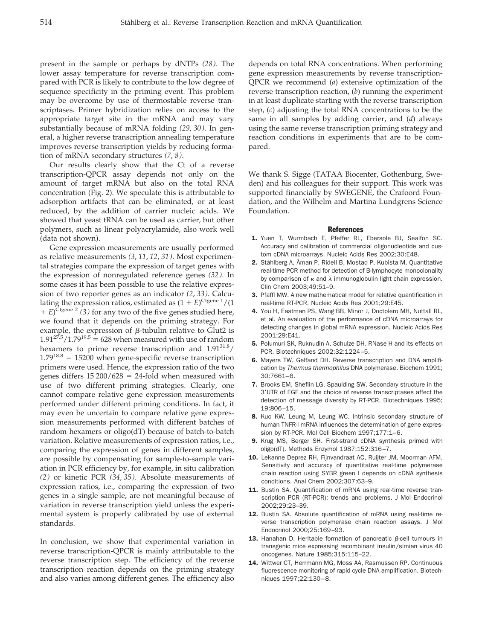present in the sample or perhaps by dNTPs *(28)*. The lower assay temperature for reverse transcription compared with PCR is likely to contribute to the low degree of sequence specificity in the priming event. This problem may be overcome by use of thermostable reverse transcriptases. Primer hybridization relies on access to the appropriate target site in the mRNA and may vary substantially because of mRNA folding *(29*, *30)*. In general, a higher reverse transcription annealing temperature improves reverse transcription yields by reducing formation of mRNA secondary structures *(7*, *8)*.

Our results clearly show that the Ct of a reverse transcription-QPCR assay depends not only on the amount of target mRNA but also on the total RNA concentration (Fig. 2). We speculate this is attributable to adsorption artifacts that can be eliminated, or at least reduced, by the addition of carrier nucleic acids. We showed that yeast tRNA can be used as carrier, but other polymers, such as linear polyacrylamide, also work well (data not shown).

Gene expression measurements are usually performed as relative measurements *(3*, *11*, *12*, *31)*. Most experimental strategies compare the expression of target genes with the expression of nonregulated reference genes *(32)*. In some cases it has been possible to use the relative expression of two reporter genes as an indicator *(2*, *33)*. Calculating the expression ratios, estimated as  $(1 + E)^{\text{Ctgene }1}/(1$  $E^{\text{7}}$ <sup>Etgene 2</sup> (3) for any two of the five genes studied here, we found that it depends on the priming strategy. For example, the expression of  $\beta$ -tubulin relative to Glut2 is  $1.91^{27.5}/1.79^{19.5} = 628$  when measured with use of random hexamers to prime reverse transcription and  $1.91^{31.8}/$  $1.79^{18.8} = 15200$  when gene-specific reverse transcription primers were used. Hence, the expression ratio of the two genes differs  $15\,200/628 = 24$ -fold when measured with use of two different priming strategies. Clearly, one cannot compare relative gene expression measurements performed under different priming conditions. In fact, it may even be uncertain to compare relative gene expression measurements performed with different batches of random hexamers or oligo(dT) because of batch-to-batch variation. Relative measurements of expression ratios, i.e., comparing the expression of genes in different samples, are possible by compensating for sample-to-sample variation in PCR efficiency by, for example, in situ calibration *(2)* or kinetic PCR *(34*, *35)*. Absolute measurements of expression ratios, i.e., comparing the expression of two genes in a single sample, are not meaningful because of variation in reverse transcription yield unless the experimental system is properly calibrated by use of external standards.

In conclusion, we show that experimental variation in reverse transcription-QPCR is mainly attributable to the reverse transcription step. The efficiency of the reverse transcription reaction depends on the priming strategy and also varies among different genes. The efficiency also depends on total RNA concentrations. When performing gene expression measurements by reverse transcription-QPCR we recommend (*a*) extensive optimization of the reverse transcription reaction, (*b*) running the experiment in at least duplicate starting with the reverse transcription step, (*c*) adjusting the total RNA concentrations to be the same in all samples by adding carrier, and (*d*) always using the same reverse transcription priming strategy and reaction conditions in experiments that are to be compared.

We thank S. Sigge (TATAA Biocenter, Gothenburg, Sweden) and his colleagues for their support. This work was supported financially by SWEGENE, the Crafoord Foundation, and the Wilhelm and Martina Lundgrens Science Foundation.

## **References**

- 1. Yuen T, Wurmbach E, Pfeffer RL, Ebersole BJ, Sealfon SC. Accuracy and calibration of commercial oligonucleotide and custom cDNA microarrays. Nucleic Acids Res 2002;30:E48.
- 2. Ståhlberg A, Åman P, Ridell B, Mostad P, Kubista M. Quantitative real-time PCR method for detection of B-lymphocyte monoclonality by comparison of  $\kappa$  and  $\lambda$  immunoglobulin light chain expression. Clin Chem 2003;49:51–9.
- 3. Pfaffl MW. A new mathematical model for relative quantification in real-time RT-PCR. Nucleic Acids Res 2001;29:E45.
- 4. You H, Eastman PS, Wang BB, Minor J, Doctolero MH, Nuttall RL, et al. An evaluation of the performance of cDNA microarrays for detecting changes in global mRNA expression. Nucleic Acids Res 2001;29:E41.
- 5. Polumuri SK, Ruknudin A, Schulze DH. RNase H and its effects on PCR. Biotechniques 2002;32:1224–5.
- 6. Mayers TW, Gelfand DH. Reverse transcription and DNA amplification by *Thermus thermophilus* DNA polymerase. Biochem 1991; 30:7661–6.
- 7. Brooks EM, Sheflin LG, Spaulding SW. Secondary structure in the 3 UTR of EGF and the choice of reverse transcriptases affect the detection of message diversity by RT-PCR. Biotechniques 1995; 19:806–15.
- 8. Kuo KW, Leung M, Leung WC. Intrinsic secondary structure of human TNFR-I mRNA influences the determination of gene expression by RT-PCR. Mol Cell Biochem 1997;177:1–6.
- 9. Krug MS, Berger SH. First-strand cDNA synthesis primed with oligo(dT). Methods Enzymol 1987;152:316–7.
- 10. Lekanne Deprez RH, Fijnvandraat AC, Ruijter JM, Moorman AFM. Sensitivity and accuracy of quantitative real-time polymerase chain reaction using SYBR green I depends on cDNA synthesis conditions. Anal Chem 2002;307:63–9.
- 11. Bustin SA. Quantification of mRNA using real-time reverse transcription PCR (RT-PCR): trends and problems. J Mol Endocrinol 2002;29:23–39.
- 12. Bustin SA. Absolute quantification of mRNA using real-time reverse transcription polymerase chain reaction assays. J Mol Endocrinol 2000;25:169–93.
- **13.** Hanahan D. Heritable formation of pancreatic  $\beta$ -cell tumours in transgenic mice expressing recombinant insulin/simian virus 40 oncogenes. Nature 1985;315:115–22.
- 14. Wittwer CT, Herrmann MG, Moss AA, Rasmussen RP. Continuous fluorescence monitoring of rapid cycle DNA amplification. Biotechniques 1997;22:130–8.